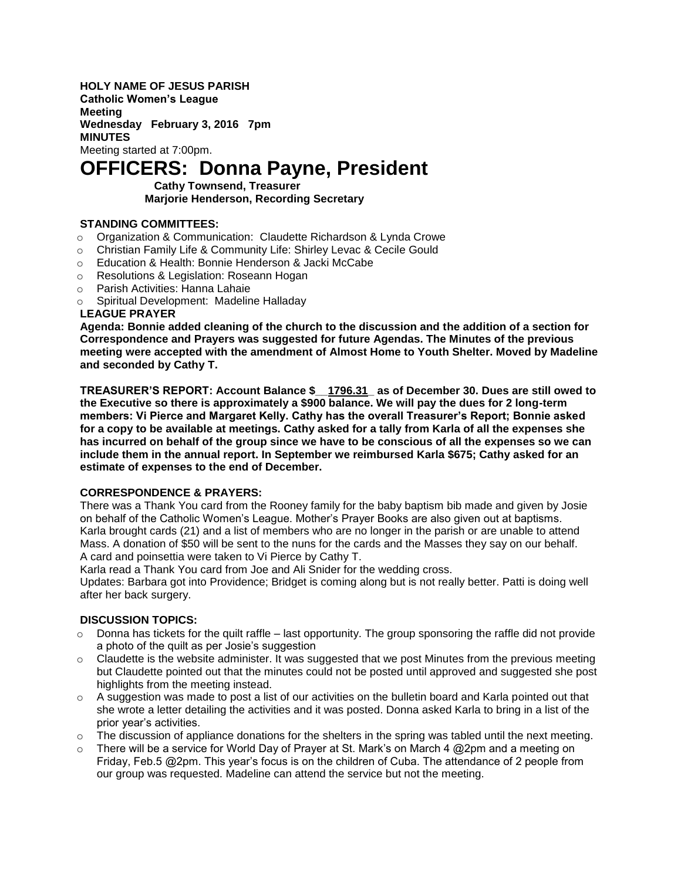**HOLY NAME OF JESUS PARISH Catholic Women's League Meeting Wednesday February 3, 2016 7pm MINUTES** Meeting started at 7:00pm.

# **OFFICERS: Donna Payne, President**

 **Cathy Townsend, Treasurer Marjorie Henderson, Recording Secretary**

### **STANDING COMMITTEES:**

- o Organization & Communication: Claudette Richardson & Lynda Crowe
- o Christian Family Life & Community Life: Shirley Levac & Cecile Gould
- o Education & Health: Bonnie Henderson & Jacki McCabe
- o Resolutions & Legislation: Roseann Hogan
- o Parish Activities: Hanna Lahaie
- o Spiritual Development: Madeline Halladay

### **LEAGUE PRAYER**

**Agenda: Bonnie added cleaning of the church to the discussion and the addition of a section for Correspondence and Prayers was suggested for future Agendas. The Minutes of the previous meeting were accepted with the amendment of Almost Home to Youth Shelter. Moved by Madeline and seconded by Cathy T.**

**TREASURER'S REPORT: Account Balance \$\_\_1796.31\_ as of December 30. Dues are still owed to the Executive so there is approximately a \$900 balance. We will pay the dues for 2 long-term members: Vi Pierce and Margaret Kelly. Cathy has the overall Treasurer's Report; Bonnie asked for a copy to be available at meetings. Cathy asked for a tally from Karla of all the expenses she has incurred on behalf of the group since we have to be conscious of all the expenses so we can include them in the annual report. In September we reimbursed Karla \$675; Cathy asked for an estimate of expenses to the end of December.**

### **CORRESPONDENCE & PRAYERS:**

There was a Thank You card from the Rooney family for the baby baptism bib made and given by Josie on behalf of the Catholic Women's League. Mother's Prayer Books are also given out at baptisms. Karla brought cards (21) and a list of members who are no longer in the parish or are unable to attend Mass. A donation of \$50 will be sent to the nuns for the cards and the Masses they say on our behalf. A card and poinsettia were taken to Vi Pierce by Cathy T.

Karla read a Thank You card from Joe and Ali Snider for the wedding cross.

Updates: Barbara got into Providence; Bridget is coming along but is not really better. Patti is doing well after her back surgery.

### **DISCUSSION TOPICS:**

- $\circ$  Donna has tickets for the quilt raffle last opportunity. The group sponsoring the raffle did not provide a photo of the quilt as per Josie's suggestion
- $\circ$  Claudette is the website administer. It was suggested that we post Minutes from the previous meeting but Claudette pointed out that the minutes could not be posted until approved and suggested she post highlights from the meeting instead.
- $\circ$  A suggestion was made to post a list of our activities on the bulletin board and Karla pointed out that she wrote a letter detailing the activities and it was posted. Donna asked Karla to bring in a list of the prior year's activities.
- $\circ$  The discussion of appliance donations for the shelters in the spring was tabled until the next meeting.
- $\circ$  There will be a service for World Day of Prayer at St. Mark's on March 4 @ 2pm and a meeting on Friday, Feb.5 @2pm. This year's focus is on the children of Cuba. The attendance of 2 people from our group was requested. Madeline can attend the service but not the meeting.